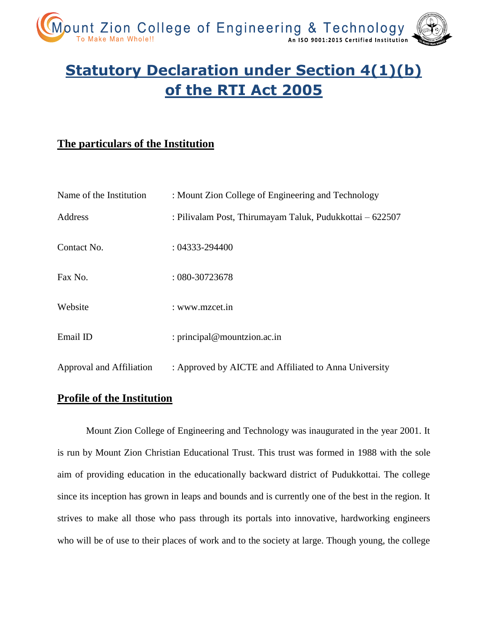

# **Statutory Declaration under Section 4(1)(b) of the RTI Act 2005**

## **The particulars of the Institution**

| Name of the Institution  | : Mount Zion College of Engineering and Technology       |
|--------------------------|----------------------------------------------------------|
| Address                  | : Pilivalam Post, Thirumayam Taluk, Pudukkottai – 622507 |
| Contact No.              | $: 04333 - 294400$                                       |
| Fax No.                  | $:080-30723678$                                          |
| Website                  | : www.mzcet.in                                           |
| Email ID                 | : principal@mountzion.ac.in                              |
| Approval and Affiliation | : Approved by AICTE and Affiliated to Anna University    |

## **Profile of the Institution**

Mount Zion College of Engineering and Technology was inaugurated in the year 2001. It is run by Mount Zion Christian Educational Trust. This trust was formed in 1988 with the sole aim of providing education in the educationally backward district of Pudukkottai. The college since its inception has grown in leaps and bounds and is currently one of the best in the region. It strives to make all those who pass through its portals into innovative, hardworking engineers who will be of use to their places of work and to the society at large. Though young, the college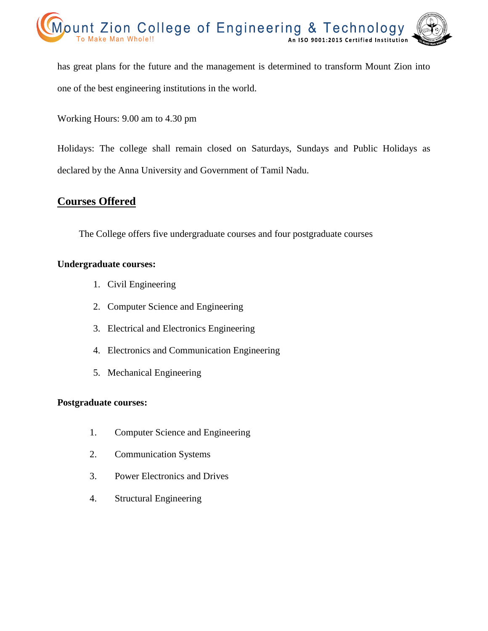

has great plans for the future and the management is determined to transform Mount Zion into one of the best engineering institutions in the world.

Working Hours: 9.00 am to 4.30 pm

Holidays: The college shall remain closed on Saturdays, Sundays and Public Holidays as declared by the Anna University and Government of Tamil Nadu.

## **Courses Offered**

The College offers five undergraduate courses and four postgraduate courses

#### **Undergraduate courses:**

- 1. Civil Engineering
- 2. Computer Science and Engineering
- 3. Electrical and Electronics Engineering
- 4. Electronics and Communication Engineering
- 5. Mechanical Engineering

#### **Postgraduate courses:**

- 1. Computer Science and Engineering
- 2. Communication Systems
- 3. Power Electronics and Drives
- 4. Structural Engineering